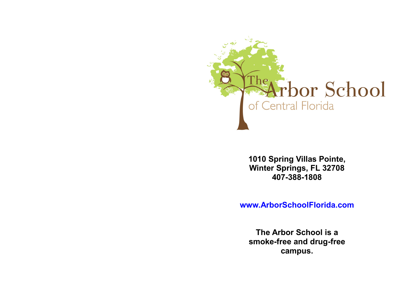

**1010 Spring Villas Pointe, Winter Springs, FL 32708 407-388-1808**

**www.ArborSchoolFlorida.com**

**The Arbor School is a smoke-free and drug-free campus.**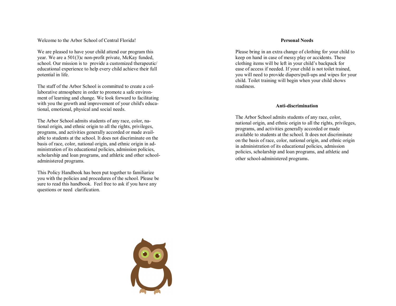Welcome to the Arbor School of Central Florida!

We are pleased to have your child attend our program this year. We are a 501(3)c non -profit private, McKay funded, school. Our mission is to provide a customized therapeutic/ educational experience to help every child achieve their full potential in life.

The staff of the Arbor School is committed to create a collaborative atmosphere in order to promote a safe environment of learning and change. We look forward to facilitating with you the growth and improvement of your child's educational, emotional, physical and social needs.

The Arbor School admits students of any race, color, national origin, and ethnic origin to all the rights, privileges, programs, and activities generally accorded or made available to students at the school. It does not discriminate on the basis of race, color, national origin, and ethnic origin in administration of its educational policies, admission policies, scholarship and loan programs, and athletic and other schooladministered programs.

This Policy Handbook has been put together to familiarize you with the policies and procedures of the school. Please be sure to read this handbook. Feel free to ask if you have any questions or need clarification.

#### **Personal Needs**

Please bring in an extra change of clothing for your child to keep on hand in case of messy play or accidents. These clothing items will be left in your child's backpack for ease of access if needed. If your child is not toilet trained, you will need to provide diapers/pull -ups and wipes for your child. Toilet training will begin when your child shows readiness.

## **Anti -discrimination**

The Arbor School admits students of any race, color, national origin, and ethnic origin to all the rights, privileges, programs, and activities generally accorded or made available to students at the school. It does not discriminate on the basis of race, color, national origin, and ethnic origin in administration of its educational policies, admission policies, scholarship and loan programs, and athletic and other school -administered programs.

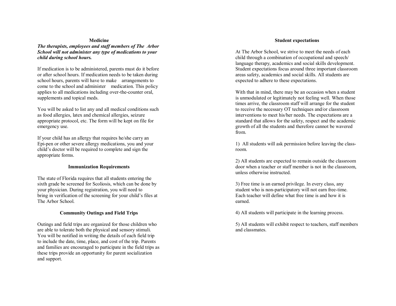#### **Medicine**

*The therapists, employees and staff members of The Arbor School will not administer any type of medications to your child during school hours.*

If medication is to be administered, parents must do it before or after school hours. If medication needs to be taken during school hours, parents will have to make arrangements to come to the school and administer medication. This policy applies to all medications including over-the-counter oral, supplements and topical meds.

You will be asked to list any and all medical conditions such as food allergies, latex and chemical allergies, seizure appropriate protocol, etc. The form will be kept on file for emergency use.

If your child has an allergy that requires he/she carry an Epi-pen or other severe allergy medications, you and your child's doctor will be required to complete and sign the appropriate forms.

#### **Immunization Requirements**

The state of Florida requires that all students entering the sixth grade be screened for Scoliosis, which can be done by your physician. During registration, you will need to bring in verification of the screening for your child's files at The Arbor School.

# **Community Outings and Field Trips**

Outings and field trips are organized for those children who are able to tolerate both the physical and sensory stimuli. You will be notified in writing the details of each field trip to include the date, time, place, and cost of the trip. Parents and families are encouraged to participate in the field trips as these trips provide an opportunity for parent socialization and support.

#### **Student expectations**

At The Arbor School, we strive to meet the needs of each child through a combination of occupational and speech/ language therapy, academics and social skills development. Student expectations focus around three important classroom areas safety, academics and social skills. All students are expected to adhere to these expectations.

With that in mind, there may be an occasion when a student is unmodulated or legitimately not feeling well. When those times arrive, the classroom staff will arrange for the student to receive the necessary OT techniques and/or classroom interventions to meet his/her needs. The expectations are a standard that allows for the safety, respect and the academic growth of all the students and therefore cannot be wavered from.

1) All students will ask permission before leaving the classroom.

2) All students are expected to remain outside the classroom door when a teacher or staff member is not in the classroom, unless otherwise instructed.

3) Free time is an earned privilege. In every class, any student who is non-participatory will not earn free-time. Each teacher will define what free time is and how it is earned.

4) All students will participate in the learning process.

5) All students will exhibit respect to teachers, staff members and classmates.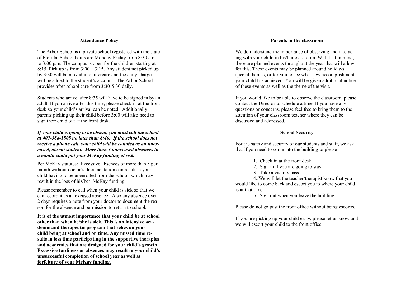#### **Attendance Policy**

The Arbor School is a private school registered with the state of Florida. School hours are Monday-Friday from 8:30 a.m. to 3:00 p.m. The campus is open for the children starting at 8:15. Pick up is from  $3:00 - 3:15$ . Any student not picked up by 3:30 will be moved into aftercare and the daily charge will be added to the student's account. The Arbor School provides after school care from 3:30-5:30 daily.

Students who arrive after 8:35 will have to be signed in by an adult. If you arrive after this time, please check in at the front desk so your child's arrival can be noted. Additionally parents picking up their child before 3:00 will also need to sign their child out at the front desk.

*If your child is going to be absent, you must call the school at 407-388-1808 no later than 8:40. If the school does not receive a phone call, your child will be counted as an unexcused, absent student. More than 3 unexcused absences in a month could put your McKay funding at risk.* 

Per McKay statutes: Excessive absences of more than 5 per month without doctor's documentation can result in your child having to be unenrolled from the school, which may result in the loss of his/her McKay funding.

Please remember to call when your child is sick so that we can record it as an excused absence. Also any absence over 2 days requires a note from your doctor to document the reason for the absence and permission to return to school.

**It is of the utmost importance that your child be at school other than when he/she is sick. This is an intensive academic and therapeutic program that relies on your child being at school and on time. Any missed time results in less time participating in the supportive therapies and academics that are designed for your child's growth. Excessive tardiness or absences may result in your child's unsuccessful completion of school year as well as forfeiture of your McKay funding.**

#### **Parents in the classroom**

We do understand the importance of observing and interacting with your child in his/her classroom. With that in mind, there are planned events throughout the year that will allow for this. These events may be planned around holidays, special themes, or for you to see what new accomplishments your child has achieved. You will be given additional notice of these events as well as the theme of the visit.

If you would like to be able to observe the classroom, please contact the Director to schedule a time. If you have any questions or concerns, please feel free to bring them to the attention of your classroom teacher where they can be discussed and addressed.

#### **School Security**

For the safety and security of our students and staff, we ask that if you need to come into the building to please

- 1. Check in at the front desk
- 2. Sign in if you are going to stay
- 3. Take a visitors pass

4..We will let the teacher/therapist know that you would like to come back and escort you to where your child is at that time.

5. Sign out when you leave the building

Please do not go past the front office without being escorted.

If you are picking up your child early, please let us know and we will escort your child to the front office.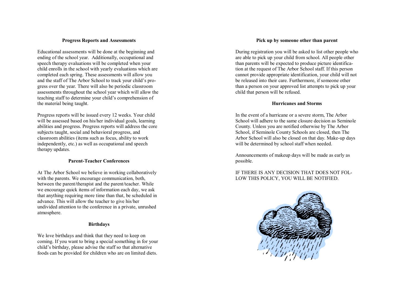#### **Progress Reports and Assessments**

Educational assessments will be done at the beginning and ending of the school year. Additionally, occupational and speech therapy evaluations will be completed when your child enrolls in the school with yearly evaluations which are completed each spring. These assessments will allow you and the staff of The Arbor School to track your child's progress over the year. There will also be periodic classroom assessments throughout the school year which will allow the teaching staff to determine your child's comprehension of the material being taught.

Progress reports will be issued every 12 weeks. Your child will be assessed based on his/her individual goals, learning abilities and progress. Progress reports will address the core subjects taught, social and behavioral progress, and classroom abilities (items such as focus, ability to work independently, etc.) as well as occupational and speech therapy updates.

## **Parent-Teacher Conferences**

At The Arbor School we believe in working collaboratively with the parents. We encourage communication, both, between the parent/therapist and the parent/teacher. While we encourage quick items of information each day, we ask that anything requiring more time than that, be scheduled in advance. This will allow the teacher to give his/her undivided attention to the conference in a private, unrushed atmosphere.

## **Birthdays**

We love birthdays and think that they need to keep on coming. If you want to bring a special something in for your child's birthday, please advise the staff so that alternative foods can be provided for children who are on limited diets.

# **Pick up by someone other than parent**

During registration you will be asked to list other people who are able to pick up your child from school. All people other than parents will be expected to produce picture identification at the request of The Arbor School staff. If this person cannot provide appropriate identification, your child will not be released into their care. Furthermore, if someone other than a person on your approved list attempts to pick up your child that person will be refused.

# **Hurricanes and Storms**

In the event of a hurricane or a severe storm, The Arbor School will adhere to the same closure decision as Seminole County. Unless you are notified otherwise by The Arbor School, if Seminole County Schools are closed, then The Arbor School will also be closed on that day. Make-up days will be determined by school staff when needed.

Announcements of makeup days will be made as early as possible.

# IF THERE IS ANY DECISION THAT DOES NOT FOL-LOW THIS POLICY, YOU WILL BE NOTIFIED.